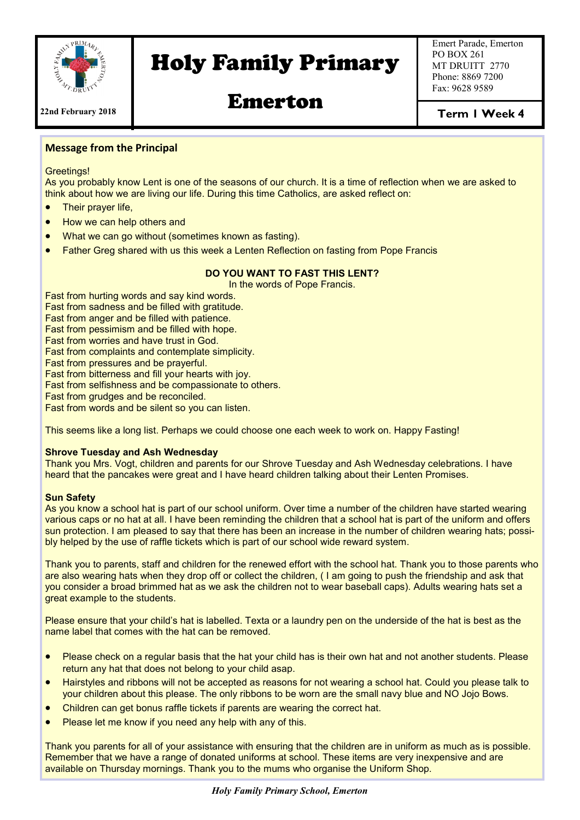

# Holy Family Primary

Emert Parade, Emerton PO BOX 261 MT DRUITT 2770 Phone: 8869 7200 Fax: 9628 9589

Emerton

Term I Week 4

#### **Message from the Principal**

Greetings!

As you probably know Lent is one of the seasons of our church. It is a time of reflection when we are asked to think about how we are living our life. During this time Catholics, are asked reflect on:

- Their prayer life,
- How we can help others and
- What we can go without (sometimes known as fasting).
- Father Greg shared with us this week a Lenten Reflection on fasting from Pope Francis

### **DO YOU WANT TO FAST THIS LENT?**

In the words of Pope Francis.

Fast from hurting words and say kind words. Fast from sadness and be filled with gratitude.

Fast from anger and be filled with patience.

Fast from pessimism and be filled with hope.

Fast from worries and have trust in God.

Fast from complaints and contemplate simplicity.

Fast from pressures and be prayerful.

Fast from bitterness and fill your hearts with joy.

Fast from selfishness and be compassionate to others.

Fast from grudges and be reconciled.

Fast from words and be silent so you can listen.

This seems like a long list. Perhaps we could choose one each week to work on. Happy Fasting!

#### **Shrove Tuesday and Ash Wednesday**

Thank you Mrs. Vogt, children and parents for our Shrove Tuesday and Ash Wednesday celebrations. I have heard that the pancakes were great and I have heard children talking about their Lenten Promises.

#### **Sun Safety**

As you know a school hat is part of our school uniform. Over time a number of the children have started wearing various caps or no hat at all. I have been reminding the children that a school hat is part of the uniform and offers sun protection. I am pleased to say that there has been an increase in the number of children wearing hats; possibly helped by the use of raffle tickets which is part of our school wide reward system.

Thank you to parents, staff and children for the renewed effort with the school hat. Thank you to those parents who are also wearing hats when they drop off or collect the children, ( I am going to push the friendship and ask that you consider a broad brimmed hat as we ask the children not to wear baseball caps). Adults wearing hats set a great example to the students.

Please ensure that your child's hat is labelled. Texta or a laundry pen on the underside of the hat is best as the name label that comes with the hat can be removed.

- Please check on a regular basis that the hat your child has is their own hat and not another students. Please return any hat that does not belong to your child asap.
- Hairstyles and ribbons will not be accepted as reasons for not wearing a school hat. Could you please talk to your children about this please. The only ribbons to be worn are the small navy blue and NO Jojo Bows.
- Children can get bonus raffle tickets if parents are wearing the correct hat.
- Please let me know if you need any help with any of this.

Thank you parents for all of your assistance with ensuring that the children are in uniform as much as is possible. Remember that we have a range of donated uniforms at school. These items are very inexpensive and are available on Thursday mornings. Thank you to the mums who organise the Uniform Shop.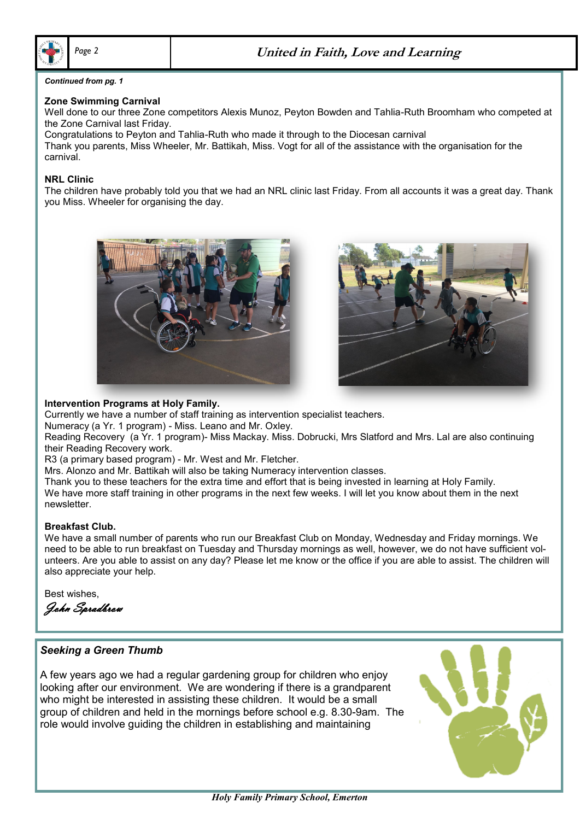

#### *Continued from pg. 1*

#### **Zone Swimming Carnival**

Well done to our three Zone competitors Alexis Munoz, Peyton Bowden and Tahlia-Ruth Broomham who competed at the Zone Carnival last Friday.

Congratulations to Peyton and Tahlia-Ruth who made it through to the Diocesan carnival Thank you parents, Miss Wheeler, Mr. Battikah, Miss. Vogt for all of the assistance with the organisation for the carnival.

#### **NRL Clinic**

The children have probably told you that we had an NRL clinic last Friday. From all accounts it was a great day. Thank you Miss. Wheeler for organising the day.





#### **Intervention Programs at Holy Family.**

Currently we have a number of staff training as intervention specialist teachers.

Numeracy (a Yr. 1 program) - Miss. Leano and Mr. Oxley.

Reading Recovery (a Yr. 1 program)- Miss Mackay. Miss. Dobrucki, Mrs Slatford and Mrs. Lal are also continuing their Reading Recovery work.

R3 (a primary based program) - Mr. West and Mr. Fletcher.

Mrs. Alonzo and Mr. Battikah will also be taking Numeracy intervention classes.

Thank you to these teachers for the extra time and effort that is being invested in learning at Holy Family. We have more staff training in other programs in the next few weeks. I will let you know about them in the next newsletter.

#### **Breakfast Club.**

We have a small number of parents who run our Breakfast Club on Monday, Wednesday and Friday mornings. We need to be able to run breakfast on Tuesday and Thursday mornings as well, however, we do not have sufficient volunteers. Are you able to assist on any day? Please let me know or the office if you are able to assist. The children will also appreciate your help.

Best wishes,

John Spradbrow

## *Seeking a Green Thumb*

group or crilidren and held in the mornings before schoor e.g. 8.30-9am<br>role would involve guiding the children in establishing and maintaining A few years ago we had a regular gardening group for children who enjoy looking after our environment. We are wondering if there is a grandparent who might be interested in assisting these children. It would be a small group of children and held in the mornings before school e.g. 8.30-9am. The

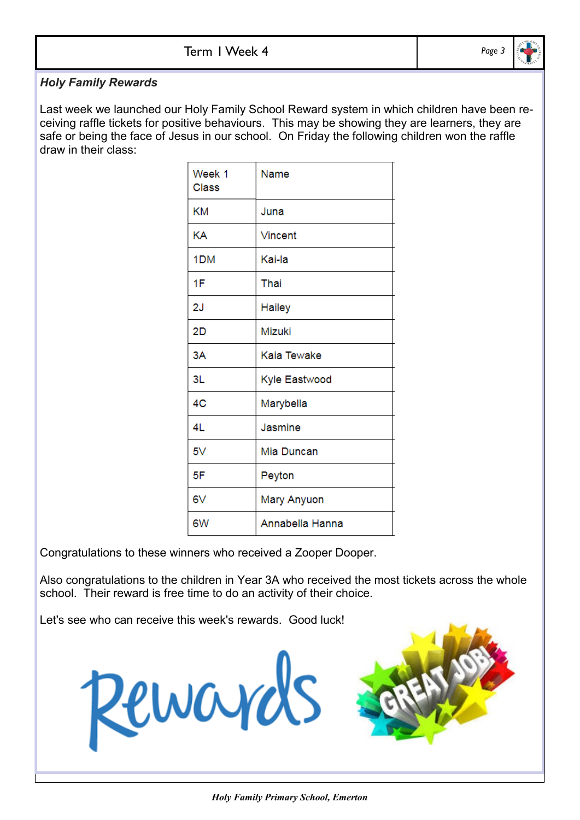# *Holy Family Rewards*

Last week we launched our Holy Family School Reward system in which children have been receiving raffle tickets for positive behaviours. This may be showing they are learners, they are safe or being the face of Jesus in our school. On Friday the following children won the raffle draw in their class:

| Week 1<br><b>Class</b> | Name            |
|------------------------|-----------------|
| <b>KM</b>              | Juna            |
| KΑ                     | Vincent         |
| 1 <sub>DM</sub>        | Kai-la          |
| 1F                     | Thai            |
| 2J                     | Hailey          |
| 2D                     | Mizuki          |
| 3A                     | Kaia Tewake     |
| 3L                     | Kyle Eastwood   |
| 4C                     | Marybella       |
| 4L                     | Jasmine         |
| 5V                     | Mia Duncan      |
| 5F                     | Peyton          |
| 6V                     | Mary Anyuon     |
| 6W                     | Annabella Hanna |

Congratulations to these winners who received a Zooper Dooper.

Also congratulations to the children in Year 3A who received the most tickets across the whole school. Their reward is free time to do an activity of their choice.

Let's see who can receive this week's rewards. Good luck!